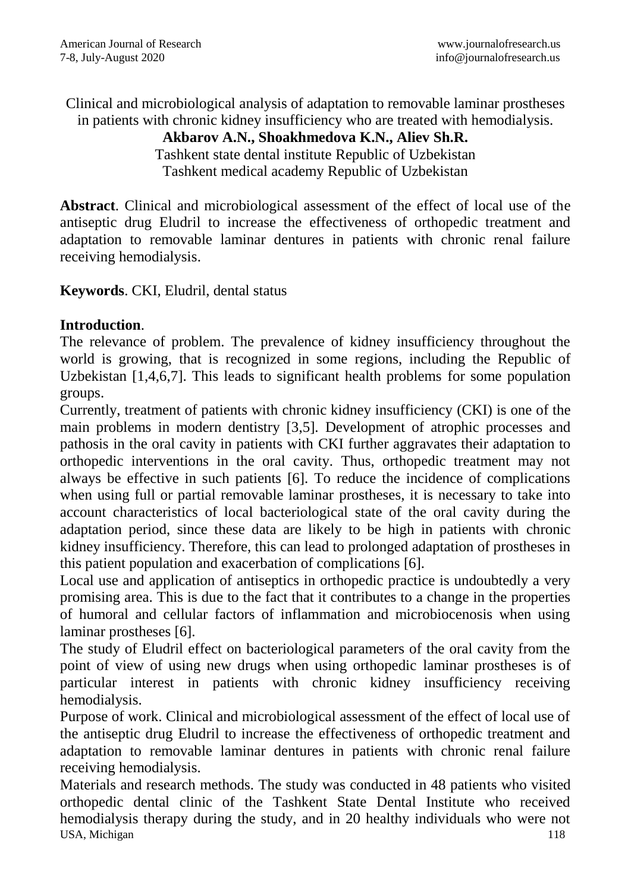Clinical and microbiological analysis of adaptation to removable laminar prostheses in patients with chronic kidney insufficiency who are treated with hemodialysis.

## **Akbarov A.N., Shoakhmedova K.N., Aliev Sh.R.**

Tashkent state dental institute Republic of Uzbekistan Tashkent medical academy Republic of Uzbekistan

**Abstract**. Clinical and microbiological assessment of the effect of local use of the antiseptic drug Eludril to increase the effectiveness of orthopedic treatment and adaptation to removable laminar dentures in patients with chronic renal failure receiving hemodialysis.

**Keywords**. CKI, Eludril, dental status

## **Introduction**.

The relevance of problem. The prevalence of kidney insufficiency throughout the world is growing, that is recognized in some regions, including the Republic of Uzbekistan [1,4,6,7]. This leads to significant health problems for some population groups.

Currently, treatment of patients with chronic kidney insufficiency (CKI) is one of the main problems in modern dentistry [3,5]. Development of atrophic processes and pathosis in the oral cavity in patients with CKI further aggravates their adaptation to orthopedic interventions in the oral cavity. Thus, orthopedic treatment may not always be effective in such patients [6]. To reduce the incidence of complications when using full or partial removable laminar prostheses, it is necessary to take into account characteristics of local bacteriological state of the oral cavity during the adaptation period, since these data are likely to be high in patients with chronic kidney insufficiency. Therefore, this can lead to prolonged adaptation of prostheses in this patient population and exacerbation of complications [6].

Local use and application of antiseptics in orthopedic practice is undoubtedly a very promising area. This is due to the fact that it contributes to a change in the properties of humoral and cellular factors of inflammation and microbiocenosis when using laminar prostheses [6].

The study of Eludril effect on bacteriological parameters of the oral cavity from the point of view of using new drugs when using orthopedic laminar prostheses is of particular interest in patients with chronic kidney insufficiency receiving hemodialysis.

Purpose of work. Clinical and microbiological assessment of the effect of local use of the antiseptic drug Eludril to increase the effectiveness of orthopedic treatment and adaptation to removable laminar dentures in patients with chronic renal failure receiving hemodialysis.

USA, Michigan 118 Materials and research methods. The study was conducted in 48 patients who visited orthopedic dental clinic of the Tashkent State Dental Institute who received hemodialysis therapy during the study, and in 20 healthy individuals who were not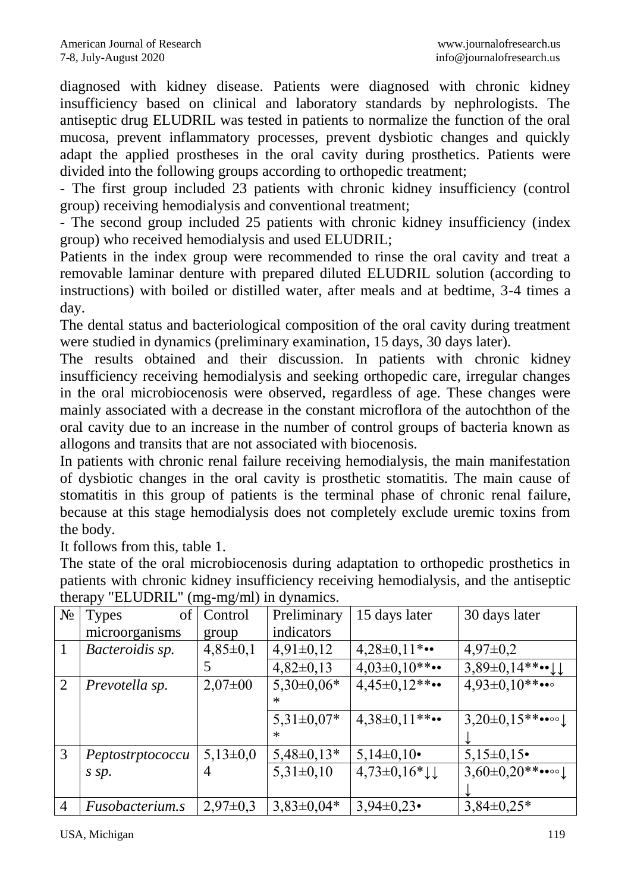diagnosed with kidney disease. Patients were diagnosed with chronic kidney insufficiency based on clinical and laboratory standards by nephrologists. The antiseptic drug ELUDRIL was tested in patients to normalize the function of the oral mucosa, prevent inflammatory processes, prevent dysbiotic changes and quickly adapt the applied prostheses in the oral cavity during prosthetics. Patients were divided into the following groups according to orthopedic treatment;

- The first group included 23 patients with chronic kidney insufficiency (control group) receiving hemodialysis and conventional treatment;

- The second group included 25 patients with chronic kidney insufficiency (index group) who received hemodialysis and used ELUDRIL;

Patients in the index group were recommended to rinse the oral cavity and treat a removable laminar denture with prepared diluted ELUDRIL solution (according to instructions) with boiled or distilled water, after meals and at bedtime, 3-4 times a day.

The dental status and bacteriological composition of the oral cavity during treatment were studied in dynamics (preliminary examination, 15 days, 30 days later).

The results obtained and their discussion. In patients with chronic kidney insufficiency receiving hemodialysis and seeking orthopedic care, irregular changes in the oral microbiocenosis were observed, regardless of age. These changes were mainly associated with a decrease in the constant microflora of the autochthon of the oral cavity due to an increase in the number of control groups of bacteria known as allogons and transits that are not associated with biocenosis.

In patients with chronic renal failure receiving hemodialysis, the main manifestation of dysbiotic changes in the oral cavity is prosthetic stomatitis. The main cause of stomatitis in this group of patients is the terminal phase of chronic renal failure, because at this stage hemodialysis does not completely exclude uremic toxins from the body.

It follows from this, table 1.

The state of the oral microbiocenosis during adaptation to orthopedic prosthetics in patients with chronic kidney insufficiency receiving hemodialysis, and the antiseptic therapy "ELUDRIL" (mg-mg/ml) in dynamics.

| $N_2$          | <b>Types</b><br>of     | Control      | Preliminary    | 15 days later                      | 30 days later           |
|----------------|------------------------|--------------|----------------|------------------------------------|-------------------------|
|                | microorganisms         | group        | indicators     |                                    |                         |
| $\mathbf{1}$   | Bacteroidis sp.        | $4,85\pm0,1$ | $4,91\pm0,12$  | $4,28\pm0,11$ *••                  | $4,97\pm0,2$            |
|                |                        |              | $4,82\pm0,13$  | $4,03\pm0,10**\cdots$              | $3,89\pm0,14***$ $\cup$ |
| 2              | Prevotella sp.         | $2,07\pm00$  | $5,30\pm0,06*$ | $4,45\pm0,12**$                    | $4.93 \pm 0.10$ **•••   |
|                |                        |              | $\ast$         |                                    |                         |
|                |                        |              | $5,31\pm0,07*$ | $4,38\pm0,11**$                    | $3,20\pm0,15**\cdots$   |
|                |                        |              | $\ast$         |                                    |                         |
| 3              | Peptostrptococcu       | $5,13\pm0,0$ | $5,48\pm0,13*$ | $5,14\pm0,10\bullet$               | $5,15\pm0,15$           |
|                | s sp.                  | 4            | $5,31\pm0,10$  | $4,73\pm0,16*\downarrow\downarrow$ | $3,60\pm0,20**\cdots$   |
|                |                        |              |                |                                    |                         |
| $\overline{4}$ | <i>Fusobacterium.s</i> | $2,97\pm0.3$ | $3,83\pm0,04*$ | $3,94\pm0,23$                      | $3,84\pm0,25*$          |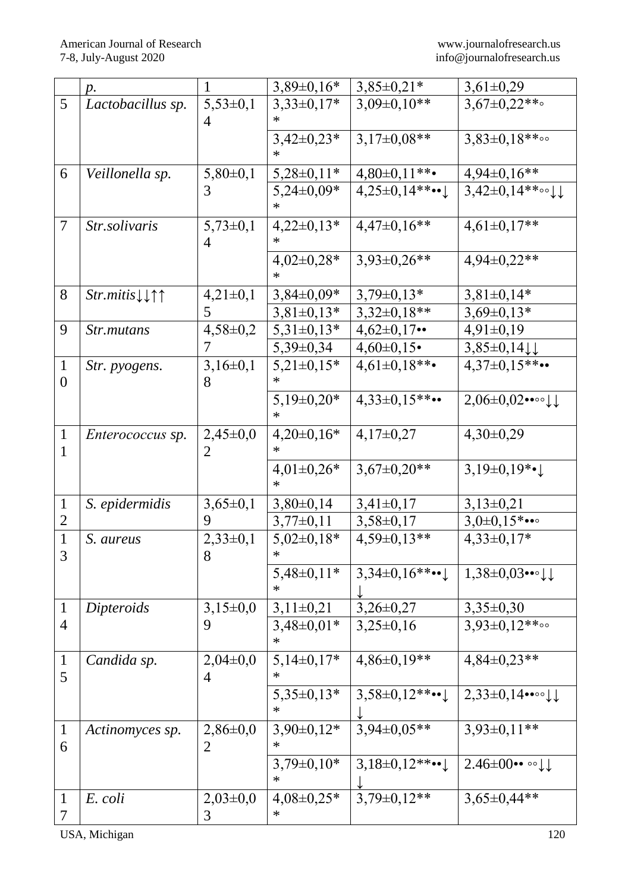|                                | $p$ .                                    | 1                              | $3,89\pm0,16*$           | $3,85\pm0,21*$                    | $3,61\pm0,29$                            |
|--------------------------------|------------------------------------------|--------------------------------|--------------------------|-----------------------------------|------------------------------------------|
| 5                              | Lactobacillus sp.                        | $5,53\pm0,1$                   | $3,33\pm0,17*$           | $3,09\pm0,10**$                   | $3,67 \pm 0,22**$                        |
|                                |                                          | 4                              | $3,42\pm0,23*$           | $3,17\pm0.08**$                   | $3,83\pm0,18**$                          |
| 6                              | Veillonella sp.                          | $5,80\pm0,1$                   | $5,28\pm0,11*$           | $4,80\pm0,11**$                   | $4,94\pm0,16**$                          |
|                                |                                          | 3                              | $5,24\pm0,09*$           | $4,25\pm0,14**$ •• $\downarrow$   | $3,42\pm0,14**\circ\cup\downarrow$       |
| 7                              | Str.solivaris                            | $5,73\pm0,1$<br>4              | $4,22\pm0,13*$<br>∗      | $4,47\pm0,16**$                   | $4,61\pm0,17**$                          |
|                                |                                          |                                | $4,02\pm0,28*$<br>$\ast$ | $3,93\pm0,26**$                   | $4,94\pm0,22**$                          |
| 8                              | $Str.mitis \downarrow \uparrow \uparrow$ | $4,21\pm0,1$                   | $3,84\pm0,09*$           | $3,79\pm0,13*$                    | $3,81\pm0,14*$                           |
|                                |                                          | 5                              | $3,81\pm0,13*$           | $3,32\pm0,18**$                   | $3,69\pm0,13*$                           |
| 9                              | <i>Str.mutans</i>                        | $4,58 \pm 0.2$                 | $5,31\pm0,13*$           | $4,62 \pm 0,17 \cdots$            | $4,91\pm0,19$                            |
|                                |                                          |                                | $5,39\pm0,34$            | $4,60\pm0,15$                     | $3,85\pm0,14$                            |
| $\mathbf{1}$<br>$\overline{0}$ | Str. pyogens.                            | $3,16\pm0,1$<br>8              | $5,21\pm0,15*$<br>∗      | $4,61\pm0,18**$                   | $4,37\pm0,15**$                          |
|                                |                                          |                                | $5,19\pm0,20*$<br>$\ast$ | $4,33\pm0,15**$                   | $2,06 \pm 0,02 \cdots \cup 1$            |
| $\mathbf{1}$<br>1              | <i>Enterococcus sp.</i>                  | $2,45\pm0,0$<br>2              | $4,20\pm0,16*$           | $4,17\pm0,27$                     | $4,30\pm0,29$                            |
|                                |                                          |                                | $4,01\pm0,26*$           | $3,67\pm0,20**$                   | 3,19 $\pm$ 0,19 $*$ • $\downarrow$       |
| $\mathbf{1}$                   | S. epidermidis                           | $3,65\pm0,1$                   | $3,80\pm0,14$            | $3,41\pm0,17$                     | $3,13\pm0,21$                            |
| $\overline{2}$                 |                                          | 9                              | $3,77\pm0,11$            | $3,58\pm0,17$                     | $3,0\pm0,15$ *•••                        |
| $\mathbf{1}$<br>3              | S. aureus                                | $2,33\pm0,1$<br>8              | $5,02\pm0,18*$<br>$\ast$ | $4,59\pm0,13**$                   | $4,33\pm0,17*$                           |
|                                |                                          |                                | $5,48\pm0,11*$           | $3,34\pm0,16$ **•• $\downarrow$   | $1,38\pm0,03$ ••• $\downarrow\downarrow$ |
| $\mathbf{1}$                   | Dipteroids                               | $3,15\pm0,0$                   | $3,11\pm0,21$            | $3,26 \pm 0,27$                   | $3,35\pm0,30$                            |
| $\overline{4}$                 |                                          | 9                              | $3,48\pm0,01*$<br>∗      | $3,25\pm0,16$                     | $3,93\pm0,12**$                          |
| $\mathbf{1}$<br>5              | Candida sp.                              | $2,04\pm0,0$<br>$\overline{4}$ | $5,14\pm0,17*$           | $4,86\pm0,19**$                   | $4,84\pm0,23**$                          |
|                                |                                          |                                | $5,35\pm0,13*$           | $3,58 \pm 0,12$ **•• $\downarrow$ | $2,33\pm0,14$ ••••↓                      |
| $\mathbf{1}$<br>6              | Actinomyces sp.                          | $2,86 \pm 0,0$<br>2            | $3,90\pm0,12*$           | $3,94\pm0.05**$                   | $3,93\pm0,11**$                          |
|                                |                                          |                                | $3,79\pm0,10*$<br>∗      | $3,18\pm0,12**$ $\cdot\cdot\cdot$ | $2.46\pm00\cdots$ of $\downarrow$        |
| $\mathbf{1}$<br>7              | E. coli                                  | $2,03\pm0,0$<br>3              | $4,08 \pm 0,25*$         | $3,79\pm0,12**$                   | $3,65\pm0,44**$                          |

USA, Michigan 120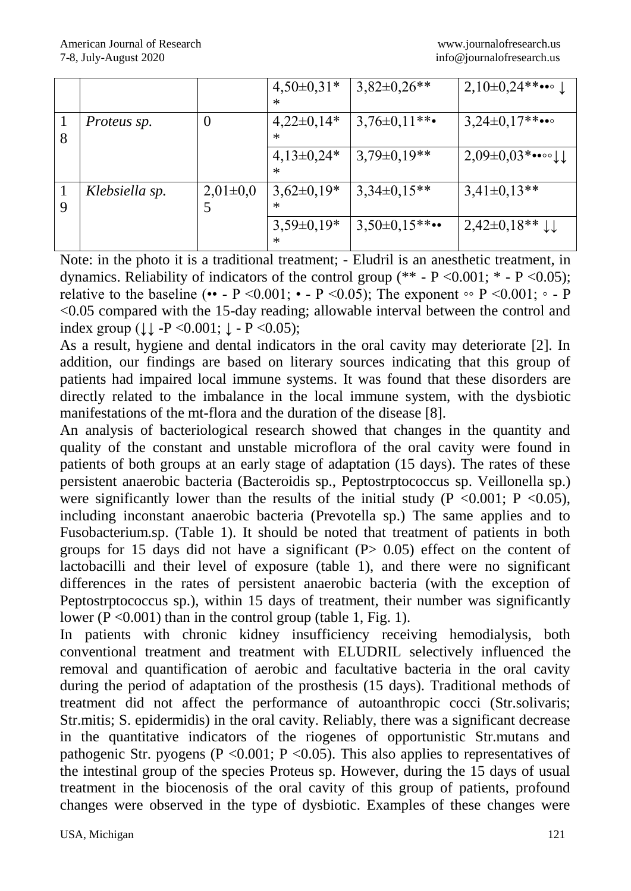|   |                |              | $4,50\pm0,31*$<br>$\ast$ | $3,82\pm0,26**$ | 2,10±0,24** $\cdots$  |
|---|----------------|--------------|--------------------------|-----------------|-----------------------|
| 8 | Proteus sp.    | $\theta$     | $4,22\pm0,14*$<br>$\ast$ | $3,76\pm0,11**$ | $3,24\pm0,17**\cdots$ |
|   |                |              | $4,13\pm0,24*$<br>$\ast$ | $3,79\pm0,19**$ | $2,09\pm0,03$ *••∘∘↓↓ |
| 9 | Klebsiella sp. | $2,01\pm0,0$ | $3,62\pm0,19*$<br>$\ast$ | $3,34\pm0,15**$ | $3,41\pm0,13**$       |
|   |                |              | $3,59\pm0,19*$<br>$\ast$ | $3,50\pm0,15**$ | $2,42\pm0,18**$       |

Note: in the photo it is a traditional treatment; - Eludril is an anesthetic treatment, in dynamics. Reliability of indicators of the control group (\*\* - P <0.001; \* - P <0.05); relative to the baseline (•• - P <0.001; • - P <0.05); The exponent  $\circ \circ$  P <0.001;  $\circ$  - P <0.05 compared with the 15-day reading; allowable interval between the control and index group  $( \downarrow \downarrow -P \leq 0.001; \downarrow -P \leq 0.05);$ 

As a result, hygiene and dental indicators in the oral cavity may deteriorate [2]. In addition, our findings are based on literary sources indicating that this group of patients had impaired local immune systems. It was found that these disorders are directly related to the imbalance in the local immune system, with the dysbiotic manifestations of the mt-flora and the duration of the disease [8].

An analysis of bacteriological research showed that changes in the quantity and quality of the constant and unstable microflora of the oral cavity were found in patients of both groups at an early stage of adaptation (15 days). The rates of these persistent anaerobic bacteria (Bacteroidis sp., Peptostrptococcus sp. Veillonella sp.) were significantly lower than the results of the initial study ( $P < 0.001$ ;  $P < 0.05$ ), including inconstant anaerobic bacteria (Prevotella sp.) The same applies and to Fusobacterium.sp. (Table 1). It should be noted that treatment of patients in both groups for 15 days did not have a significant  $(P> 0.05)$  effect on the content of lactobacilli and their level of exposure (table 1), and there were no significant differences in the rates of persistent anaerobic bacteria (with the exception of Peptostrptococcus sp.), within 15 days of treatment, their number was significantly lower ( $P \le 0.001$ ) than in the control group (table 1, Fig. 1).

In patients with chronic kidney insufficiency receiving hemodialysis, both conventional treatment and treatment with ELUDRIL selectively influenced the removal and quantification of aerobic and facultative bacteria in the oral cavity during the period of adaptation of the prosthesis (15 days). Traditional methods of treatment did not affect the performance of autoanthropic cocci (Str.solivaris; Str.mitis; S. epidermidis) in the oral cavity. Reliably, there was a significant decrease in the quantitative indicators of the riogenes of opportunistic Str.mutans and pathogenic Str. pyogens (P < 0.001; P < 0.05). This also applies to representatives of the intestinal group of the species Proteus sp. However, during the 15 days of usual treatment in the biocenosis of the oral cavity of this group of patients, profound changes were observed in the type of dysbiotic. Examples of these changes were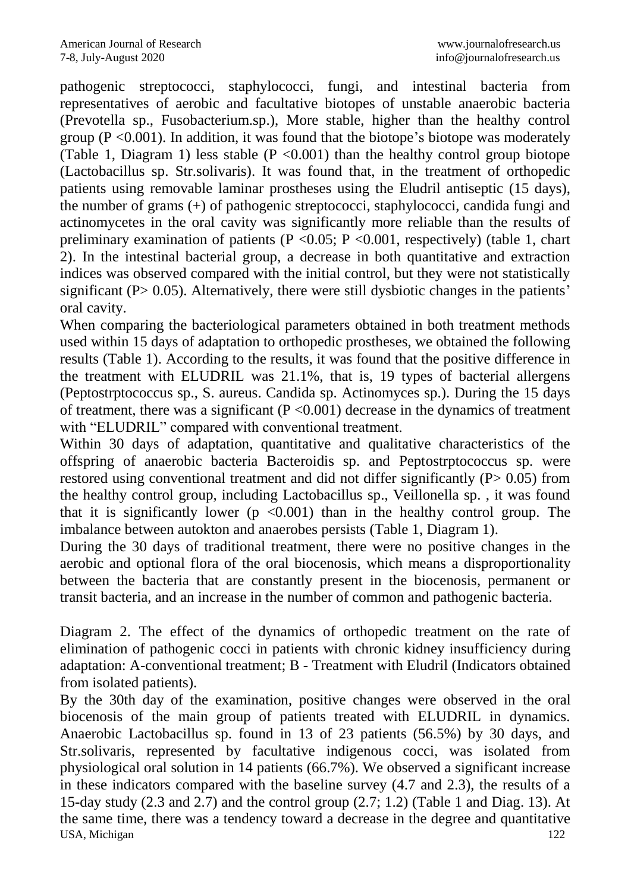pathogenic streptococci, staphylococci, fungi, and intestinal bacteria from representatives of aerobic and facultative biotopes of unstable anaerobic bacteria (Prevotella sp., Fusobacterium.sp.), More stable, higher than the healthy control group ( $P \le 0.001$ ). In addition, it was found that the biotope's biotope was moderately (Table 1, Diagram 1) less stable ( $P < 0.001$ ) than the healthy control group biotope (Lactobacillus sp. Str.solivaris). It was found that, in the treatment of orthopedic patients using removable laminar prostheses using the Eludril antiseptic (15 days), the number of grams (+) of pathogenic streptococci, staphylococci, candida fungi and actinomycetes in the oral cavity was significantly more reliable than the results of preliminary examination of patients ( $P < 0.05$ ;  $P < 0.001$ , respectively) (table 1, chart 2). In the intestinal bacterial group, a decrease in both quantitative and extraction indices was observed compared with the initial control, but they were not statistically significant ( $P > 0.05$ ). Alternatively, there were still dysbiotic changes in the patients' oral cavity.

When comparing the bacteriological parameters obtained in both treatment methods used within 15 days of adaptation to orthopedic prostheses, we obtained the following results (Table 1). According to the results, it was found that the positive difference in the treatment with ELUDRIL was 21.1%, that is, 19 types of bacterial allergens (Peptostrptococcus sp., S. aureus. Candida sp. Actinomyces sp.). During the 15 days of treatment, there was a significant  $(P \le 0.001)$  decrease in the dynamics of treatment with "ELUDRIL" compared with conventional treatment.

Within 30 days of adaptation, quantitative and qualitative characteristics of the offspring of anaerobic bacteria Bacteroidis sp. and Peptostrptococcus sp. were restored using conventional treatment and did not differ significantly (P > 0.05) from the healthy control group, including Lactobacillus sp., Veillonella sp. , it was found that it is significantly lower ( $p \le 0.001$ ) than in the healthy control group. The imbalance between autokton and anaerobes persists (Table 1, Diagram 1).

During the 30 days of traditional treatment, there were no positive changes in the aerobic and optional flora of the oral biocenosis, which means a disproportionality between the bacteria that are constantly present in the biocenosis, permanent or transit bacteria, and an increase in the number of common and pathogenic bacteria.

Diagram 2. The effect of the dynamics of orthopedic treatment on the rate of elimination of pathogenic cocci in patients with chronic kidney insufficiency during adaptation: A-conventional treatment; B - Treatment with Eludril (Indicators obtained from isolated patients).

USA, Michigan 122 By the 30th day of the examination, positive changes were observed in the oral biocenosis of the main group of patients treated with ELUDRIL in dynamics. Anaerobic Lactobacillus sp. found in 13 of 23 patients (56.5%) by 30 days, and Str.solivaris, represented by facultative indigenous cocci, was isolated from physiological oral solution in 14 patients (66.7%). We observed a significant increase in these indicators compared with the baseline survey (4.7 and 2.3), the results of a 15-day study (2.3 and 2.7) and the control group (2.7; 1.2) (Table 1 and Diag. 13). At the same time, there was a tendency toward a decrease in the degree and quantitative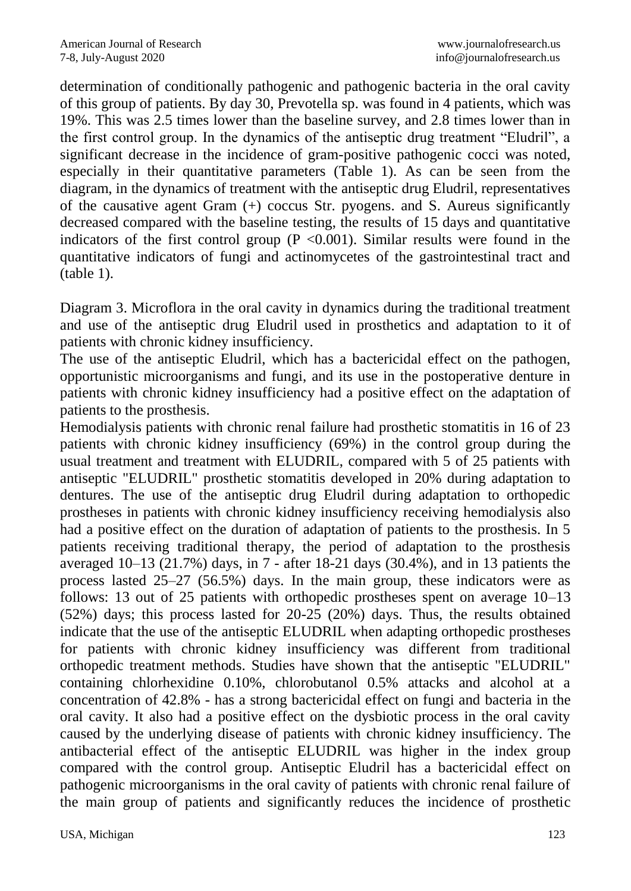determination of conditionally pathogenic and pathogenic bacteria in the oral cavity of this group of patients. By day 30, Prevotella sp. was found in 4 patients, which was 19%. This was 2.5 times lower than the baseline survey, and 2.8 times lower than in the first control group. In the dynamics of the antiseptic drug treatment "Eludril", a significant decrease in the incidence of gram-positive pathogenic cocci was noted, especially in their quantitative parameters (Table 1). As can be seen from the diagram, in the dynamics of treatment with the antiseptic drug Eludril, representatives of the causative agent Gram (+) coccus Str. pyogens. and S. Aureus significantly decreased compared with the baseline testing, the results of 15 days and quantitative indicators of the first control group ( $P \le 0.001$ ). Similar results were found in the quantitative indicators of fungi and actinomycetes of the gastrointestinal tract and (table 1).

Diagram 3. Microflora in the oral cavity in dynamics during the traditional treatment and use of the antiseptic drug Eludril used in prosthetics and adaptation to it of patients with chronic kidney insufficiency.

The use of the antiseptic Eludril, which has a bactericidal effect on the pathogen, opportunistic microorganisms and fungi, and its use in the postoperative denture in patients with chronic kidney insufficiency had a positive effect on the adaptation of patients to the prosthesis.

Hemodialysis patients with chronic renal failure had prosthetic stomatitis in 16 of 23 patients with chronic kidney insufficiency (69%) in the control group during the usual treatment and treatment with ELUDRIL, compared with 5 of 25 patients with antiseptic "ELUDRIL" prosthetic stomatitis developed in 20% during adaptation to dentures. The use of the antiseptic drug Eludril during adaptation to orthopedic prostheses in patients with chronic kidney insufficiency receiving hemodialysis also had a positive effect on the duration of adaptation of patients to the prosthesis. In 5 patients receiving traditional therapy, the period of adaptation to the prosthesis averaged 10–13 (21.7%) days, in 7 - after 18-21 days (30.4%), and in 13 patients the process lasted 25–27 (56.5%) days. In the main group, these indicators were as follows: 13 out of 25 patients with orthopedic prostheses spent on average 10–13 (52%) days; this process lasted for 20-25 (20%) days. Thus, the results obtained indicate that the use of the antiseptic ELUDRIL when adapting orthopedic prostheses for patients with chronic kidney insufficiency was different from traditional orthopedic treatment methods. Studies have shown that the antiseptic "ELUDRIL" containing chlorhexidine 0.10%, chlorobutanol 0.5% attacks and alcohol at a concentration of 42.8% - has a strong bactericidal effect on fungi and bacteria in the oral cavity. It also had a positive effect on the dysbiotic process in the oral cavity caused by the underlying disease of patients with chronic kidney insufficiency. The antibacterial effect of the antiseptic ELUDRIL was higher in the index group compared with the control group. Antiseptic Eludril has a bactericidal effect on pathogenic microorganisms in the oral cavity of patients with chronic renal failure of the main group of patients and significantly reduces the incidence of prosthetic